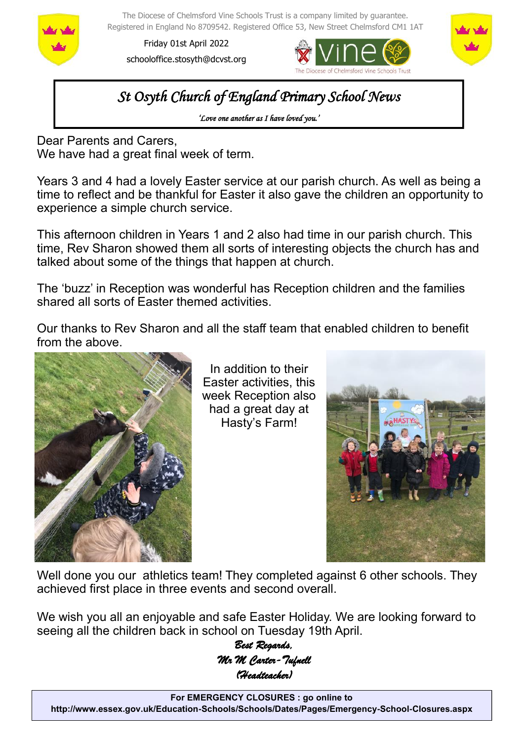

The Diocese of Chelmsford Vine Schools Trust is a company limited by guarantee. Registered in England No 8709542. Registered Office 53, New Street Chelmsford CM1 1AT

Friday 01st April 2022 schooloffice.stosyth@dcvst.org





*St Osyth Church of England Primary School News* 

*'Love one another as I have loved you.'* 

Dear Parents and Carers, We have had a great final week of term.

Years 3 and 4 had a lovely Easter service at our parish church. As well as being a time to reflect and be thankful for Easter it also gave the children an opportunity to experience a simple church service.

This afternoon children in Years 1 and 2 also had time in our parish church. This time, Rev Sharon showed them all sorts of interesting objects the church has and talked about some of the things that happen at church.

The 'buzz' in Reception was wonderful has Reception children and the families shared all sorts of Easter themed activities.

Our thanks to Rev Sharon and all the staff team that enabled children to benefit from the above.



In addition to their Easter activities, this week Reception also had a great day at Hasty's Farm!



Well done you our athletics team! They completed against 6 other schools. They achieved first place in three events and second overall.

We wish you all an enjoyable and safe Easter Holiday. We are looking forward to seeing all the children back in school on Tuesday 19th April.

> *Best Regards, Mr M Carter-Tufnell (Headteacher)*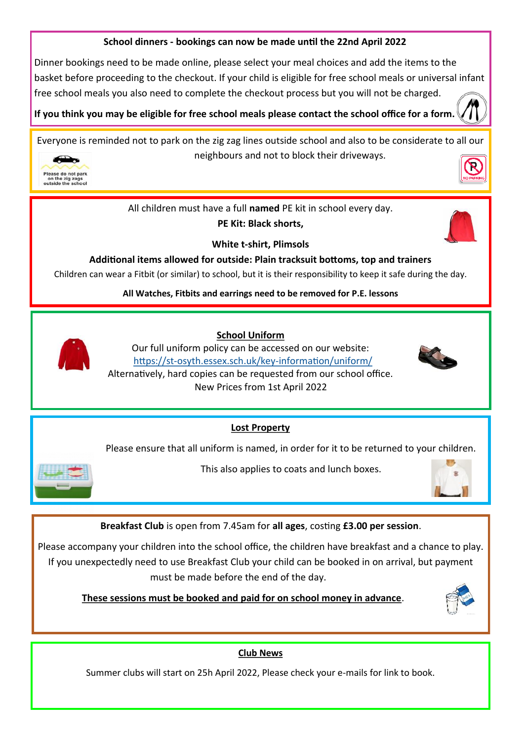#### **School dinners - bookings can now be made until the 22nd April 2022**

Dinner bookings need to be made online, please select your meal choices and add the items to the basket before proceeding to the checkout. If your child is eligible for free school meals or universal infant free school meals you also need to complete the checkout process but you will not be charged.

**If you think you may be eligible for free school meals please contact the school office for a form.** 

Everyone is reminded not to park on the zig zag lines outside school and also to be considerate to all our neighbours and not to block their driveways.



All children must have a full **named** PE kit in school every day.

**PE Kit: Black shorts,** 



**White t-shirt, Plimsols**

**Additional items allowed for outside: Plain tracksuit bottoms, top and trainers**

Children can wear a Fitbit (or similar) to school, but it is their responsibility to keep it safe during the day.

**All Watches, Fitbits and earrings need to be removed for P.E. lessons**



 **School Uniform**

Our full uniform policy can be accessed on our website: https://st-[osyth.essex.sch.uk/key](https://st-osyth.essex.sch.uk/key-information/uniform/)-information/uniform/ Alternatively, hard copies can be requested from our school office. New Prices from 1st April 2022



**Lost Property**

Please ensure that all uniform is named, in order for it to be returned to your children.



This also applies to coats and lunch boxes.



**Breakfast Club** is open from 7.45am for **all ages**, costing **£3.00 per session**.

Please accompany your children into the school office, the children have breakfast and a chance to play. If you unexpectedly need to use Breakfast Club your child can be booked in on arrival, but payment must be made before the end of the day.

 **These sessions must be booked and paid for on school money in advance**.



## **Club News**

Summer clubs will start on 25h April 2022, Please check your e-mails for link to book.